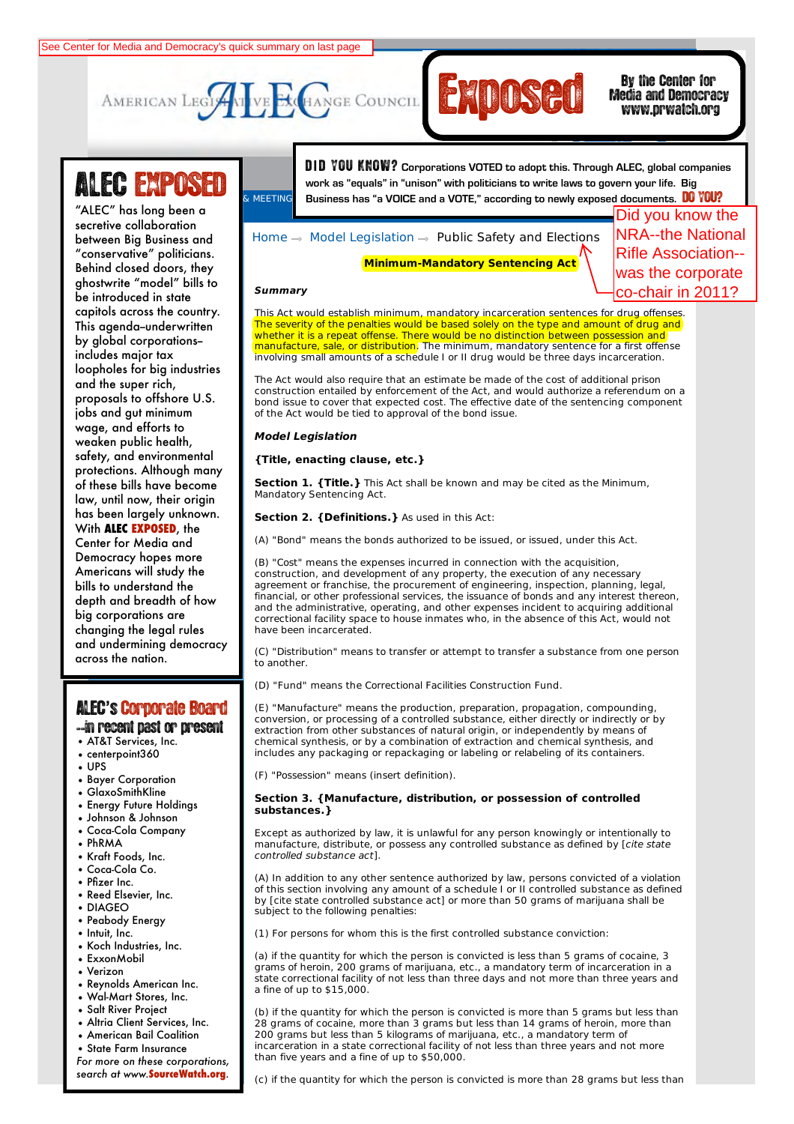



### Media and Democracy www.prwatch.org

# LEC EXPOSED

"ALEC" has long been a between Big Business and "conservative" politicians.<br>Public delle delle delle delle delle delle delle delle delle delle delle delle delle **Commerce, Insurance,** ghostwrite "model" bills to **and Economic** be introduced in state **Development** capitols across the country. This agenda–underwritten<br>' **Energy, Environment,** includes major tax **and Agriculture** loopholes for big industries **Federal Relations** proposals to offshore U.S. **Health and Human** jobs and gut minimum **Services** wage, and efforts to **International Relations** safety, and environmental protections. Although many **Elections** of these bills have become **Tax and Fiscal Policy** has been largely unknown. **With ALEC EXPOSED**, the **and Information** Center for Media and Democracy hopes more bills to understand the we parameter and are then changing the legal rules secretive collaboration Behind closed doors, they by global corporations- and the super rich, weaken public health, law, until now, their origin Americans will study the depth and breadth of how and undermining democracy across the nation.

### ALEC**'**s'Corporate Board

--in recent past or present

- AT&T Services, Inc.
- centerpoint360
- UPS
- Bayer Corporation
- GlaxoSmithKline
- Energy Future Holdings
- Johnson & Johnson
- Coca-Cola Company
- PhRMA
- Kraft Foods, Inc.
- Coca-Cola Co.
- Pfizer Inc.
- Reed Elsevier, Inc.
- DIAGEO
- Peabody Energy • Intuit, Inc.
- Koch Industries, Inc.
- ExxonMobil
- Verizon
- 
- Reynolds American Inc. • Wal-Mart Stores, Inc.
- Salt River Project
- 
- Altria Client Services, Inc. • American Bail Coalition
- State Farm Insurance

*For more on these corporations, search at www.***SourceWatch.org**.

work as "equals" in "unison" with politicians to write laws to govern your life. Big **ALEC EMPOSED** work as "equals" in "unison" with politicians to write laws to govern your life. Big<br>ALEC EMPOSED susiness has "a VOICE and a VOTE," according to newly exposed documents. **DO YOU?** D **I** D YOU KNOW? **Corporations VOTED to adopt this. Through ALEC, global companies**  See Center for Media and Democracy's quick summary on last page<br>
AMERICAN LEGT THE EXCELANGE COUNCIL TRIMATE COUNCIL TRIMATE TO MEDIA and Democracy<br>
THE COUNCIL TRIMATE COUNCIL TRIMATE COUNCIL TRIMATE COUNTRATE TO MEDIA AL

## Home  $\rightarrow$  Model Legislation  $\rightarrow$  Public Safety and Elections

**Minimum-Mandatory Sentencing Act**

Did you know the NRA--the National Rifle Association- was the corporate

#### **Summary**

This Act would establish minimum, mandatory incarceration sentences for drug offenses. The severity of the penalties would be based solely on the type and amount of drug and whether it is a repeat offense. There would be no distinction between possession and manufacture, sale, or distribution. The minimum, mandatory sentence for a first offense involving small amounts of a schedule I or II drug would be three days incarceration.

The Act would also require that an estimate be made of the cost of additional prison construction entailed by enforcement of the Act, and would authorize a referendum on a bond issue to cover that expected cost. The effective date of the sentencing component of the Act would be tied to approval of the bond issue.

#### **Model Legislation**

#### **{Title, enacting clause, etc.}**

**Section 1. {Title.}** This Act shall be known and may be cited as the Minimum, Mandatory Sentencing Act.

**Section 2. {Definitions.}** As used in this Act:

(A) "Bond" means the bonds authorized to be issued, or issued, under this Act.

(B) "Cost" means the expenses incurred in connection with the acquisition, construction, and development of any property, the execution of any necessary agreement or franchise, the procurement of engineering, inspection, planning, legal, financial, or other professional services, the issuance of bonds and any interest thereon, and the administrative, operating, and other expenses incident to acquiring additional correctional facility space to house inmates who, in the absence of this Act, would not have been incarcerated.

(C) "Distribution" means to transfer or attempt to transfer a substance from one person to another.

(D) "Fund" means the Correctional Facilities Construction Fund.

(E) "Manufacture" means the production, preparation, propagation, compounding, conversion, or processing of a controlled substance, either directly or indirectly or by extraction from other substances of natural origin, or independently by means of chemical synthesis, or by a combination of extraction and chemical synthesis, and includes any packaging or repackaging or labeling or relabeling of its containers.

(F) "Possession" means (insert definition).

#### **Section 3. {Manufacture, distribution, or possession of controlled substances.}**

Except as authorized by law, it is unlawful for any person knowingly or intentionally to manufacture, distribute, or possess any controlled substance as defined by [cite state controlled substance act].

(A) In addition to any other sentence authorized by law, persons convicted of a violation of this section involving any amount of a schedule I or II controlled substance as defined by [cite state controlled substance act] or more than 50 grams of marijuana shall be subject to the following penalties:

(1) For persons for whom this is the first controlled substance conviction:

(a) if the quantity for which the person is convicted is less than 5 grams of cocaine, 3 grams of heroin, 200 grams of marijuana, etc., a mandatory term of incarceration in a state correctional facility of not less than three days and not more than three years and a fine of up to \$15,000.

(b) if the quantity for which the person is convicted is more than 5 grams but less than 28 grams of cocaine, more than 3 grams but less than 14 grams of heroin, more than 200 grams but less than 5 kilograms of marijuana, etc., a mandatory term of incarceration in a state correctional facility of not less than three years and not more than five years and a fine of up to \$50,000.

(c) if the quantity for which the person is convicted is more than 28 grams but less than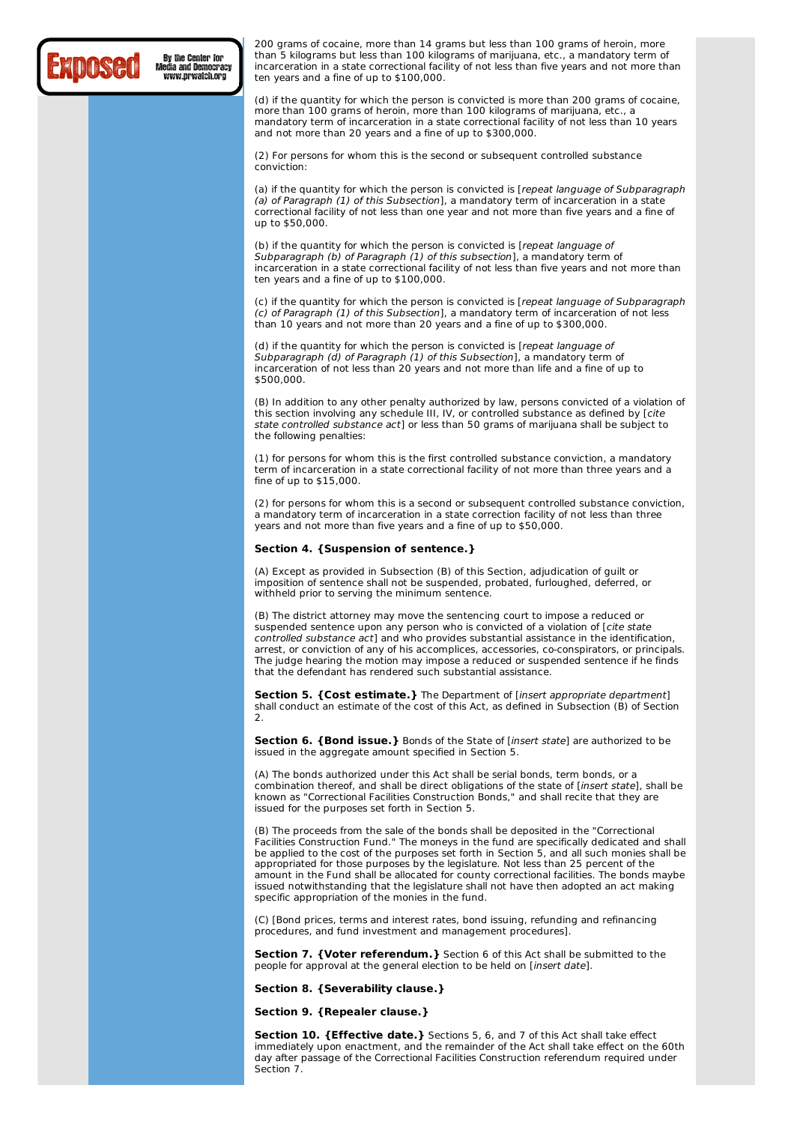## Exposed

Media and Democracy www.prwatch.org

200 grams of cocaine, more than 14 grams but less than 100 grams of heroin, more than 5 kilograms but less than 100 kilograms of marijuana, etc., a mandatory term of incarceration in a state correctional facility of not less than five years and not more than ten years and a fine of up to \$100,000.

(d) if the quantity for which the person is convicted is more than 200 grams of cocaine, more than 100 grams of heroin, more than 100 kilograms of marijuana, etc., a mandatory term of incarceration in a state correctional facility of not less than 10 years and not more than 20 years and a fine of up to \$300,000.

(2) For persons for whom this is the second or subsequent controlled substance conviction:

(a) if the quantity for which the person is convicted is [repeat language of Subparagraph (a) of Paragraph (1) of this Subsection], a mandatory term of incarceration in a state correctional facility of not less than one year and not more than five years and a fine of up to \$50,000.

(b) if the quantity for which the person is convicted is [repeat language of Subparagraph (b) of Paragraph (1) of this subsection], a mandatory term of incarceration in a state correctional facility of not less than five years and not more than ten years and a fine of up to \$100,000.

(c) if the quantity for which the person is convicted is [repeat language of Subparagraph (c) of Paragraph (1) of this Subsection], a mandatory term of incarceration of not less than 10 years and not more than 20 years and a fine of up to \$300,000.

(d) if the quantity for which the person is convicted is [repeat language of Subparagraph (d) of Paragraph (1) of this Subsection], a mandatory term of incarceration of not less than 20 years and not more than life and a fine of up to \$500,000.

(B) In addition to any other penalty authorized by law, persons convicted of a violation of this section involving any schedule III, IV, or controlled substance as defined by [cite state controlled substance act] or less than 50 grams of marijuana shall be subject to the following penalties:

(1) for persons for whom this is the first controlled substance conviction, a mandatory term of incarceration in a state correctional facility of not more than three years and a fine of up to \$15,000.

(2) for persons for whom this is a second or subsequent controlled substance conviction, a mandatory term of incarceration in a state correction facility of not less than three years and not more than five years and a fine of up to \$50,000.

#### **Section 4. {Suspension of sentence.}**

(A) Except as provided in Subsection (B) of this Section, adjudication of guilt or imposition of sentence shall not be suspended, probated, furloughed, deferred, or withheld prior to serving the minimum sentence.

(B) The district attorney may move the sentencing court to impose a reduced or suspended sentence upon any person who is convicted of a violation of [cite state controlled substance act1 and who provides substantial assistance in the identification. arrest, or conviction of any of his accomplices, accessories, co-conspirators, or principals. The judge hearing the motion may impose a reduced or suspended sentence if he finds that the defendant has rendered such substantial assistance.

**Section 5. {Cost estimate.}** The Department of [insert appropriate department] shall conduct an estimate of the cost of this Act, as defined in Subsection (B) of Section 2.

**Section 6. {Bond issue.}** Bonds of the State of [insert state] are authorized to be issued in the aggregate amount specified in Section 5.

(A) The bonds authorized under this Act shall be serial bonds, term bonds, or a combination thereof, and shall be direct obligations of the state of [insert state], shall be known as "Correctional Facilities Construction Bonds," and shall recite that they are issued for the purposes set forth in Section 5.

(B) The proceeds from the sale of the bonds shall be deposited in the "Correctional Facilities Construction Fund." The moneys in the fund are specifically dedicated and shall be applied to the cost of the purposes set forth in Section 5, and all such monies shall be appropriated for those purposes by the legislature. Not less than 25 percent of the amount in the Fund shall be allocated for county correctional facilities. The bonds maybe issued notwithstanding that the legislature shall not have then adopted an act making specific appropriation of the monies in the fund.

(C) [Bond prices, terms and interest rates, bond issuing, refunding and refinancing procedures, and fund investment and management procedures].

**Section 7. {Voter referendum.}** Section 6 of this Act shall be submitted to the people for approval at the general election to be held on [insert date].

**Section 8. {Severability clause.}**

**Section 9. {Repealer clause.}**

**Section 10. {Effective date.}** Sections 5, 6, and 7 of this Act shall take effect immediately upon enactment, and the remainder of the Act shall take effect on the 60th day after passage of the Correctional Facilities Construction referendum required under Section 7.